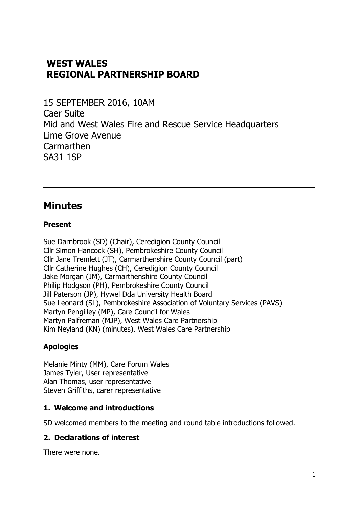# **WEST WALES REGIONAL PARTNERSHIP BOARD**

15 SEPTEMBER 2016, 10AM Caer Suite Mid and West Wales Fire and Rescue Service Headquarters Lime Grove Avenue **Carmarthen** SA31 1SP

# **Minutes**

#### **Present**

Sue Darnbrook (SD) (Chair), Ceredigion County Council Cllr Simon Hancock (SH), Pembrokeshire County Council Cllr Jane Tremlett (JT), Carmarthenshire County Council (part) Cllr Catherine Hughes (CH), Ceredigion County Council Jake Morgan (JM), Carmarthenshire County Council Philip Hodgson (PH), Pembrokeshire County Council Jill Paterson (JP), Hywel Dda University Health Board Sue Leonard (SL), Pembrokeshire Association of Voluntary Services (PAVS) Martyn Pengilley (MP), Care Council for Wales Martyn Palfreman (MJP), West Wales Care Partnership Kim Neyland (KN) (minutes), West Wales Care Partnership

#### **Apologies**

Melanie Minty (MM), Care Forum Wales James Tyler, User representative Alan Thomas, user representative Steven Griffiths, carer representative

#### **1. Welcome and introductions**

SD welcomed members to the meeting and round table introductions followed.

#### **2. Declarations of interest**

There were none.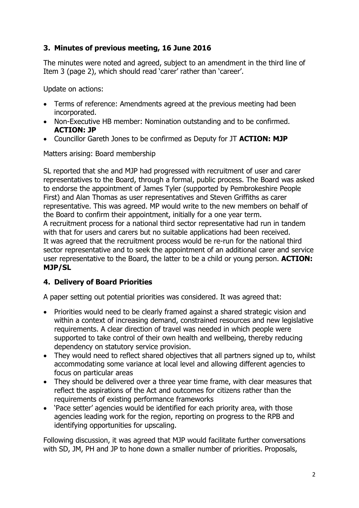## **3. Minutes of previous meeting, 16 June 2016**

The minutes were noted and agreed, subject to an amendment in the third line of Item 3 (page 2), which should read 'carer' rather than 'career'.

Update on actions:

- Terms of reference: Amendments agreed at the previous meeting had been incorporated.
- Non-Executive HB member: Nomination outstanding and to be confirmed. **ACTION: JP**
- Councillor Gareth Jones to be confirmed as Deputy for JT **ACTION: MJP**

Matters arising: Board membership

SL reported that she and MJP had progressed with recruitment of user and carer representatives to the Board, through a formal, public process. The Board was asked to endorse the appointment of James Tyler (supported by Pembrokeshire People First) and Alan Thomas as user representatives and Steven Griffiths as carer representative. This was agreed. MP would write to the new members on behalf of the Board to confirm their appointment, initially for a one year term. A recruitment process for a national third sector representative had run in tandem with that for users and carers but no suitable applications had been received. It was agreed that the recruitment process would be re-run for the national third sector representative and to seek the appointment of an additional carer and service user representative to the Board, the latter to be a child or young person. **ACTION: MJP/SL**

#### **4. Delivery of Board Priorities**

A paper setting out potential priorities was considered. It was agreed that:

- Priorities would need to be clearly framed against a shared strategic vision and within a context of increasing demand, constrained resources and new legislative requirements. A clear direction of travel was needed in which people were supported to take control of their own health and wellbeing, thereby reducing dependency on statutory service provision.
- They would need to reflect shared objectives that all partners signed up to, whilst accommodating some variance at local level and allowing different agencies to focus on particular areas
- They should be delivered over a three year time frame, with clear measures that reflect the aspirations of the Act and outcomes for citizens rather than the requirements of existing performance frameworks
- 'Pace setter' agencies would be identified for each priority area, with those agencies leading work for the region, reporting on progress to the RPB and identifying opportunities for upscaling.

Following discussion, it was agreed that MJP would facilitate further conversations with SD, JM, PH and JP to hone down a smaller number of priorities. Proposals,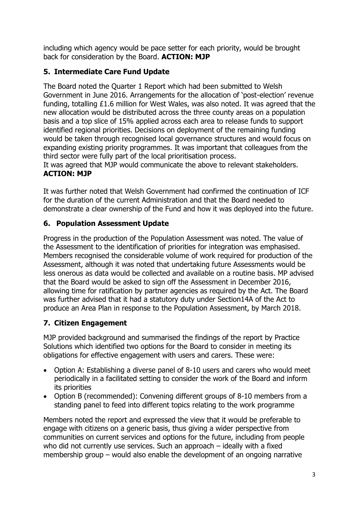including which agency would be pace setter for each priority, would be brought back for consideration by the Board. **ACTION: MJP**

## **5. Intermediate Care Fund Update**

The Board noted the Quarter 1 Report which had been submitted to Welsh Government in June 2016. Arrangements for the allocation of 'post-election' revenue funding, totalling £1.6 million for West Wales, was also noted. It was agreed that the new allocation would be distributed across the three county areas on a population basis and a top slice of 15% applied across each area to release funds to support identified regional priorities. Decisions on deployment of the remaining funding would be taken through recognised local governance structures and would focus on expanding existing priority programmes. It was important that colleagues from the third sector were fully part of the local prioritisation process.

It was agreed that MJP would communicate the above to relevant stakeholders. **ACTION: MJP**

It was further noted that Welsh Government had confirmed the continuation of ICF for the duration of the current Administration and that the Board needed to demonstrate a clear ownership of the Fund and how it was deployed into the future.

### **6. Population Assessment Update**

Progress in the production of the Population Assessment was noted. The value of the Assessment to the identification of priorities for integration was emphasised. Members recognised the considerable volume of work required for production of the Assessment, although it was noted that undertaking future Assessments would be less onerous as data would be collected and available on a routine basis. MP advised that the Board would be asked to sign off the Assessment in December 2016, allowing time for ratification by partner agencies as required by the Act. The Board was further advised that it had a statutory duty under Section14A of the Act to produce an Area Plan in response to the Population Assessment, by March 2018.

# **7. Citizen Engagement**

MJP provided background and summarised the findings of the report by Practice Solutions which identified two options for the Board to consider in meeting its obligations for effective engagement with users and carers. These were:

- Option A: Establishing a diverse panel of 8-10 users and carers who would meet periodically in a facilitated setting to consider the work of the Board and inform its priorities
- Option B (recommended): Convening different groups of 8-10 members from a standing panel to feed into different topics relating to the work programme

Members noted the report and expressed the view that it would be preferable to engage with citizens on a generic basis, thus giving a wider perspective from communities on current services and options for the future, including from people who did not currently use services. Such an approach – ideally with a fixed membership group – would also enable the development of an ongoing narrative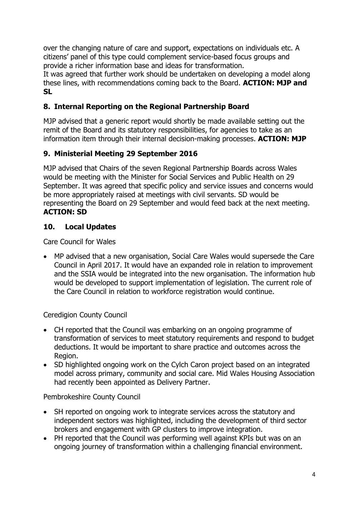over the changing nature of care and support, expectations on individuals etc. A citizens' panel of this type could complement service-based focus groups and provide a richer information base and ideas for transformation.

It was agreed that further work should be undertaken on developing a model along these lines, with recommendations coming back to the Board. **ACTION: MJP and SL**

# **8. Internal Reporting on the Regional Partnership Board**

MJP advised that a generic report would shortly be made available setting out the remit of the Board and its statutory responsibilities, for agencies to take as an information item through their internal decision-making processes. **ACTION: MJP**

# **9. Ministerial Meeting 29 September 2016**

MJP advised that Chairs of the seven Regional Partnership Boards across Wales would be meeting with the Minister for Social Services and Public Health on 29 September. It was agreed that specific policy and service issues and concerns would be more appropriately raised at meetings with civil servants. SD would be representing the Board on 29 September and would feed back at the next meeting. **ACTION: SD**

# **10. Local Updates**

Care Council for Wales

 MP advised that a new organisation, Social Care Wales would supersede the Care Council in April 2017. It would have an expanded role in relation to improvement and the SSIA would be integrated into the new organisation. The information hub would be developed to support implementation of legislation. The current role of the Care Council in relation to workforce registration would continue.

#### Ceredigion County Council

- CH reported that the Council was embarking on an ongoing programme of transformation of services to meet statutory requirements and respond to budget deductions. It would be important to share practice and outcomes across the Region.
- SD highlighted ongoing work on the Cylch Caron project based on an integrated model across primary, community and social care. Mid Wales Housing Association had recently been appointed as Delivery Partner.

#### Pembrokeshire County Council

- SH reported on ongoing work to integrate services across the statutory and independent sectors was highlighted, including the development of third sector brokers and engagement with GP clusters to improve integration.
- PH reported that the Council was performing well against KPIs but was on an ongoing journey of transformation within a challenging financial environment.